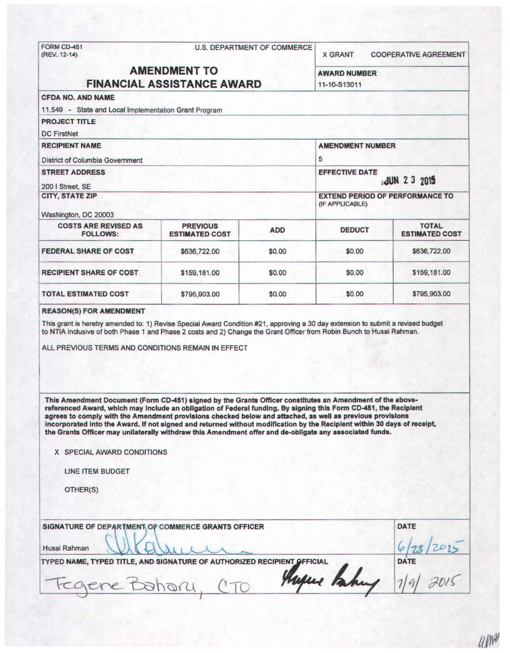# FORM CD-451 U.S. DEPARTMENT OF COMMERCE<br>(REV. 12-14)

X GRANT COOPERATIVE AGREEMENT

## AMENDMENT TO AWARD NUMBER FINANCIAL ASSISTANCE AWARD 11-10-S13011

## CFDA NO. AND NAME 11.549 - State and Local Implementation Grant Program PROJECT TITLE DC FirstNet RECIPIENT NAME AMENDMENT NUMBER RECIPIENT NAME<br>District of Columbia Government<br>STREET ADDRESS STREET ADDRESS EFFECTIVE DATE 200 I Street, SE  $_1$  JUN 2 3 2015 CITY, STATE ZIP EXTEND PERIOD OF PERFORMANCE TO (IF APPLICABLE) Washington, DC 20003 COSTS ARE REVISED AS PREVIOUS<br>
FOLLOWS: ESTIMATED COST ADD DEDUCT ESTIMATED COST **ESTIMATED COST** FEDERAL SHARE OF COST \$636,722.00 \$0.00 \$0.00 \$636,722.00 RECIPIENT SHARE OF COST \$159,181.00 \$0.00 \$0.00 \$159,181.00 TOTAL ESTIMATED COST \$795,903.00 \$0.00 \$0.00 \$0.00 \$795,903.00

#### REASON(S) FOR AMENDMENT

This grant is hereby amended to: 1) Revise Special Award Condition #21 , approving a 30 day extension to submit a revised budget to NTIA inclusive of both Phase 1 and Phase 2 costs and 2) Change the Grant Officer from Robin Bunch to Husai Rahman.

ALL PREVIOUS TERMS AND CONDITIONS REMAIN IN EFFECT

This Amendment Document (Form CD-451) signed by the Grants Officer constitutes an Amendment of the abovereferenced Award, which may Include an obligation of Federal funding. By signing this Form CD-451, the Recipient agrees to comply with the Amendment provisions checked below and attached, as well as previous provisions Incorporated Into the Award. If not signed and returned without modification by the Recipient within 30 days of receipt, the Grants Officer may unilaterally withdraw this Amendment offer and de-obligate any associated funds.

X SPECIAL AWARD CONDITIONS

LINE ITEM BUDGET

OTHER(S)

| SIGNATURE OF DEPARTMENT OF COMMERCE GRANTS OFFICER                      | DATE        |
|-------------------------------------------------------------------------|-------------|
| Husai Rahman<br>wells                                                   |             |
| TYPED NAME, TYPED TITLE, AND SIGNATURE OF AUTHORIZED RECIPIENT OFFICIAL | <b>DATE</b> |
| Mugue Paking 1/9/ 2015<br>Fegene Bahary CTO                             |             |